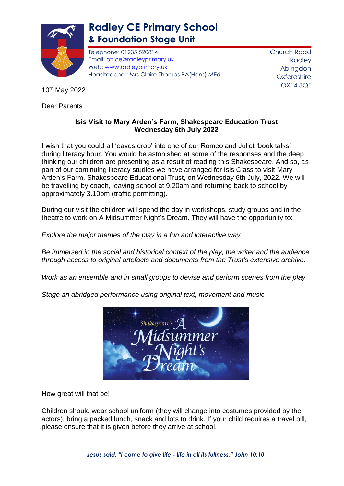

## **Radley CE Primary School & Foundation Stage Unit**

Telephone: 01235 520814 Email: [office@radleyprimary.uk](mailto:office@radleyprimary.uk) Web: [www.radleyprimary.uk](http://www.radleyprimary.uk/) Headteacher: Mrs Claire Thomas BA(Hons) MEd Church Road Radley Abingdon **Oxfordshire** OX14 3QF

10th May 2022

Dear Parents

## **Isis Visit to Mary Arden's Farm, Shakespeare Education Trust Wednesday 6th July 2022**

I wish that you could all 'eaves drop' into one of our Romeo and Juliet 'book talks' during literacy hour. You would be astonished at some of the responses and the deep thinking our children are presenting as a result of reading this Shakespeare. And so, as part of our continuing literacy studies we have arranged for Isis Class to visit Mary Arden's Farm, Shakespeare Educational Trust, on Wednesday 6th July, 2022. We will be travelling by coach, leaving school at 9.20am and returning back to school by approximately 3.10pm (traffic permitting).

During our visit the children will spend the day in workshops, study groups and in the theatre to work on A Midsummer Night's Dream. They will have the opportunity to:

*Explore the major themes of the play in a fun and interactive way.*

*Be immersed in the social and historical context of the play, the writer and the audience through access to original artefacts and documents from the Trust's extensive archive.*

*Work as an ensemble and in small groups to devise and perform scenes from the play*

Shakespeare's

*Stage an abridged performance using original text, movement and music*

How great will that be!

Children should wear school uniform (they will change into costumes provided by the actors), bring a packed lunch, snack and lots to drink. If your child requires a travel pill, please ensure that it is given before they arrive at school.